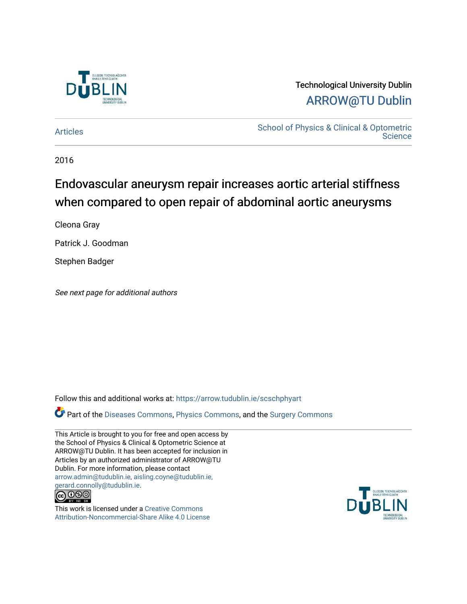

# Technological University Dublin [ARROW@TU Dublin](https://arrow.tudublin.ie/)

[Articles](https://arrow.tudublin.ie/scschphyart) [School of Physics & Clinical & Optometric](https://arrow.tudublin.ie/scschphy)  **Science** 

2016

# Endovascular aneurysm repair increases aortic arterial stiffness when compared to open repair of abdominal aortic aneurysms

Cleona Gray

Patrick J. Goodman

Stephen Badger

See next page for additional authors

Follow this and additional works at: [https://arrow.tudublin.ie/scschphyart](https://arrow.tudublin.ie/scschphyart?utm_source=arrow.tudublin.ie%2Fscschphyart%2F162&utm_medium=PDF&utm_campaign=PDFCoverPages)

Part of the [Diseases Commons](http://network.bepress.com/hgg/discipline/813?utm_source=arrow.tudublin.ie%2Fscschphyart%2F162&utm_medium=PDF&utm_campaign=PDFCoverPages), [Physics Commons,](http://network.bepress.com/hgg/discipline/193?utm_source=arrow.tudublin.ie%2Fscschphyart%2F162&utm_medium=PDF&utm_campaign=PDFCoverPages) and the [Surgery Commons](http://network.bepress.com/hgg/discipline/706?utm_source=arrow.tudublin.ie%2Fscschphyart%2F162&utm_medium=PDF&utm_campaign=PDFCoverPages)

This Article is brought to you for free and open access by the School of Physics & Clinical & Optometric Science at ARROW@TU Dublin. It has been accepted for inclusion in Articles by an authorized administrator of ARROW@TU Dublin. For more information, please contact [arrow.admin@tudublin.ie, aisling.coyne@tudublin.ie,](mailto:arrow.admin@tudublin.ie,%20aisling.coyne@tudublin.ie,%20gerard.connolly@tudublin.ie)  [gerard.connolly@tudublin.ie](mailto:arrow.admin@tudublin.ie,%20aisling.coyne@tudublin.ie,%20gerard.connolly@tudublin.ie).



This work is licensed under a [Creative Commons](http://creativecommons.org/licenses/by-nc-sa/4.0/) [Attribution-Noncommercial-Share Alike 4.0 License](http://creativecommons.org/licenses/by-nc-sa/4.0/)

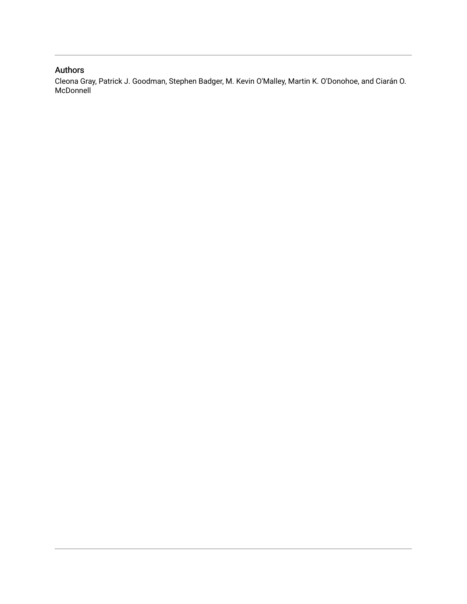# Authors

Cleona Gray, Patrick J. Goodman, Stephen Badger, M. Kevin O'Malley, Martin K. O'Donohoe, and Ciarán O. McDonnell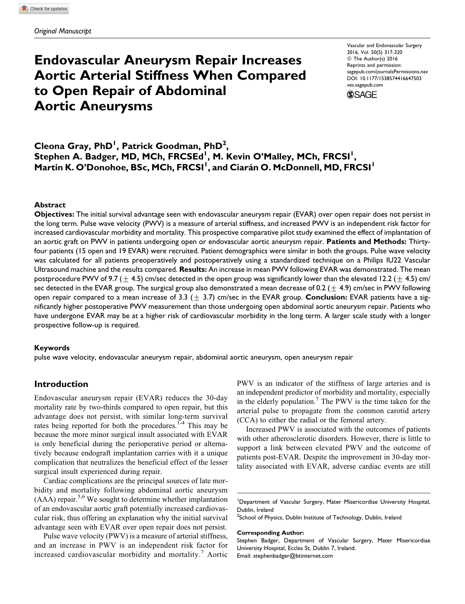# Endovascular Aneurysm Repair Increases Aortic Arterial Stiffness When Compared to Open Repair of Abdominal Aortic Aneurysms

Vascular and Endovascular Surgery 2016, Vol. 50(5) 317-320 © The Author(s) 2016 Reprints and permission: [sagepub.com/journalsPermissions.nav](http://www.sagepub.com/journalsPermissions.nav) DOI: 10.1177/1538574416647503 [ves.sagepub.com](http://ves.sagepub.com)



Cleona Gray, PhD<sup>1</sup>, Patrick Goodman, PhD<sup>2</sup>, Stephen A. Badger, MD, MCh, FRCSEd<sup>1</sup>, M. Kevin O'Malley, MCh, FRCSI<sup>1</sup>, Martin K. O'Donohoe, BSc, MCh, FRCSI<sup>I</sup>, and Ciarán O. McDonnell, MD, FRCSI<sup>I</sup>

#### Abstract

Objectives: The initial survival advantage seen with endovascular aneurysm repair (EVAR) over open repair does not persist in the long term. Pulse wave velocity (PWV) is a measure of arterial stiffness, and increased PWV is an independent risk factor for increased cardiovascular morbidity and mortality. This prospective comparative pilot study examined the effect of implantation of an aortic graft on PWV in patients undergoing open or endovascular aortic aneurysm repair. Patients and Methods: Thirtyfour patients (15 open and 19 EVAR) were recruited. Patient demographics were similar in both the groups. Pulse wave velocity was calculated for all patients preoperatively and postoperatively using a standardized technique on a Philips IU22 Vascular Ultrasound machine and the results compared. Results: An increase in mean PWV following EVAR was demonstrated. The mean postprocedure PWV of 9.7 ( $\pm$  4.5) cm/sec detected in the open group was significantly lower than the elevated 12.2 ( $\pm$  4.5) cm/ sec detected in the EVAR group. The surgical group also demonstrated a mean decrease of 0.2 ( $\pm$  4.9) cm/sec in PWV following open repair compared to a mean increase of 3.3 ( $\pm$  3.7) cm/sec in the EVAR group. **Conclusion:** EVAR patients have a significantly higher postoperative PWV measurement than those undergoing open abdominal aortic aneurysm repair. Patients who have undergone EVAR may be at a higher risk of cardiovascular morbidity in the long term. A larger scale study with a longer prospective follow-up is required.

#### Keywords

pulse wave velocity, endovascular aneurysm repair, abdominal aortic aneurysm, open aneurysm repair

### Introduction

Endovascular aneurysm repair (EVAR) reduces the 30-day mortality rate by two-thirds compared to open repair, but this advantage does not persist, with similar long-term survival rates being reported for both the procedures. $1-4$  This may be because the more minor surgical insult associated with EVAR is only beneficial during the perioperative period or alternatively because endograft implantation carries with it a unique complication that neutralizes the beneficial effect of the lesser surgical insult experienced during repair.

Cardiac complications are the principal sources of late morbidity and mortality following abdominal aortic aneurysm  $(AAA)$  repair.<sup>5,6</sup> We sought to determine whether implantation of an endovascular aortic graft potentially increased cardiovascular risk, thus offering an explanation why the initial survival advantage seen with EVAR over open repair does not persist.

Pulse wave velocity (PWV) is a measure of arterial stiffness, and an increase in PWV is an independent risk factor for increased cardiovascular morbidity and mortality.<sup>7</sup> Aortic PWV is an indicator of the stiffness of large arteries and is an independent predictor of morbidity and mortality, especially in the elderly population.<sup>7</sup> The PWV is the time taken for the arterial pulse to propagate from the common carotid artery (CCA) to either the radial or the femoral artery.

Increased PWV is associated with the outcomes of patients with other atherosclerotic disorders. However, there is little to support a link between elevated PWV and the outcome of patients post-EVAR. Despite the improvement in 30-day mortality associated with EVAR, adverse cardiac events are still

#### Corresponding Author:

Stephen Badger, Department of Vascular Surgery, Mater Misericordiae University Hospital, Eccles St, Dublin 7, Ireland. Email: stephenbadger@btinternet.com

<sup>&</sup>lt;sup>1</sup>Department of Vascular Surgery, Mater Misericordiae University Hospital, Dublin, Ireland

 $^2$ School of Physics, Dublin Institute of Technology, Dublin, Ireland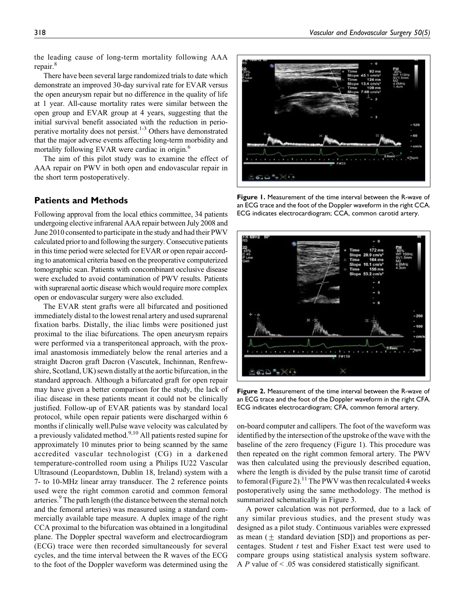the leading cause of long-term mortality following AAA repair.<sup>8</sup>

There have been several large randomized trials to date which demonstrate an improved 30-day survival rate for EVAR versus the open aneurysm repair but no difference in the quality of life at 1 year. All-cause mortality rates were similar between the open group and EVAR group at 4 years, suggesting that the initial survival benefit associated with the reduction in perioperative mortality does not persist.<sup>1-3</sup> Others have demonstrated that the major adverse events affecting long-term morbidity and mortality following EVAR were cardiac in origin.<sup>6</sup>

The aim of this pilot study was to examine the effect of AAA repair on PWV in both open and endovascular repair in the short term postoperatively.

# Patients and Methods

Following approval from the local ethics committee, 34 patients undergoing elective infrarenal AAA repair between July 2008 and June 2010 consented to participate in the study and had their PWV calculated priorto and following the surgery. Consecutive patients in this time period were selected for EVAR or open repair according to anatomical criteria based on the preoperative computerized tomographic scan. Patients with concombinant occlusive disease were excluded to avoid contamination of PWV results. Patients with suprarenal aortic disease which would require more complex open or endovascular surgery were also excluded.

The EVAR stent grafts were all bifurcated and positioned immediately distal to the lowest renal artery and used suprarenal fixation barbs. Distally, the iliac limbs were positioned just proximal to the iliac bifurcations. The open aneurysm repairs were performed via a transperitoneal approach, with the proximal anastomosis immediately below the renal arteries and a straight Dacron graft Dacron (Vascutek, Inchinnan, Renfrewshire, Scotland, UK) sewn distally at the aortic bifurcation, in the standard approach. Although a bifurcated graft for open repair may have given a better comparison for the study, the lack of iliac disease in these patients meant it could not be clinically justified. Follow-up of EVAR patients was by standard local protocol, while open repair patients were discharged within 6 months if clinically well.Pulse wave velocity was calculated by a previously validated method.<sup>9,10</sup> All patients rested supine for approximately 10 minutes prior to being scanned by the same accredited vascular technologist (CG) in a darkened temperature-controlled room using a Philips IU22 Vascular Ultrasound (Leopardstown, Dublin 18, Ireland) system with a 7- to 10-MHz linear array transducer. The 2 reference points used were the right common carotid and common femoral arteries.<sup>9</sup> The path length (the distance between the sternal notch and the femoral arteries) was measured using a standard commercially available tape measure. A duplex image of the right CCA proximal to the bifurcation was obtained in a longitudinal plane. The Doppler spectral waveform and electrocardiogram (ECG) trace were then recorded simultaneously for several cycles, and the time interval between the R waves of the ECG to the foot of the Doppler waveform was determined using the



Figure 1. Measurement of the time interval between the R-wave of an ECG trace and the foot of the Doppler waveform in the right CCA. ECG indicates electrocardiogram; CCA, common carotid artery.



Figure 2. Measurement of the time interval between the R-wave of an ECG trace and the foot of the Doppler waveform in the right CFA. ECG indicates electrocardiogram; CFA, common femoral artery.

on-board computer and callipers. The foot of the waveform was identified by the intersection of the upstroke of the wave with the baseline of the zero frequency (Figure 1). This procedure was then repeated on the right common femoral artery. The PWV was then calculated using the previously described equation, where the length is divided by the pulse transit time of carotid to femoral (Figure 2).<sup>11</sup> The PWV was then recalculated 4 weeks postoperatively using the same methodology. The method is summarized schematically in Figure 3.

A power calculation was not performed, due to a lack of any similar previous studies, and the present study was designed as a pilot study. Continuous variables were expressed as mean  $(\pm$  standard deviation [SD]) and proportions as percentages. Student  $t$  test and Fisher Exact test were used to compare groups using statistical analysis system software. A  $P$  value of  $\leq$  .05 was considered statistically significant.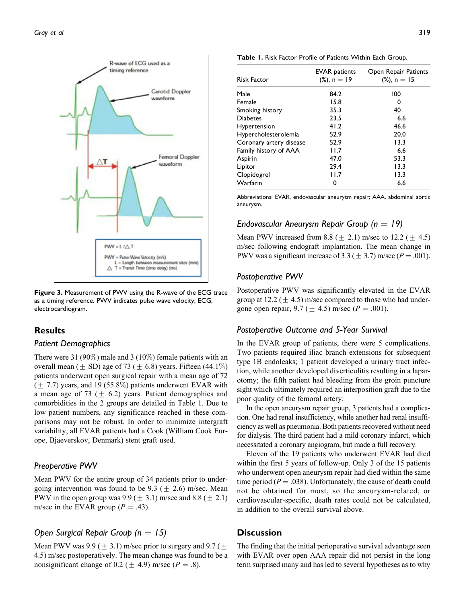

Figure 3. Measurement of PWV using the R-wave of the ECG trace as a timing reference. PWV indicates pulse wave velocity; ECG, electrocardiogram.

# Results

### Patient Demographics

There were 31 (90%) male and 3 (10%) female patients with an overall mean ( $\pm$  SD) age of 73 ( $\pm$  6.8) years. Fifteen (44.1%) patients underwent open surgical repair with a mean age of 72  $(\pm 7.7)$  years, and 19 (55.8%) patients underwent EVAR with a mean age of 73 ( $\pm$  6.2) years. Patient demographics and comorbidities in the 2 groups are detailed in Table 1. Due to low patient numbers, any significance reached in these comparisons may not be robust. In order to minimize intergraft variability, all EVAR patients had a Cook (William Cook Europe, Bjaeverskov, Denmark) stent graft used.

#### Preoperative PWV

Mean PWV for the entire group of 34 patients prior to undergoing intervention was found to be  $9.3$  (+ 2.6) m/sec. Mean PWV in the open group was  $9.9 (\pm 3.1)$  m/sec and  $8.8 (\pm 2.1)$ m/sec in the EVAR group ( $P = .43$ ).

# Open Surgical Repair Group ( $n = 15$ )

Mean PWV was 9.9 ( $\pm$  3.1) m/sec prior to surgery and 9.7 ( $\pm$ 4.5) m/sec postoperatively. The mean change was found to be a nonsignificant change of 0.2 ( $\pm$  4.9) m/sec ( $P = .8$ ).

Table 1. Risk Factor Profile of Patients Within Each Group.

| <b>Risk Factor</b>      | <b>EVAR</b> patients<br>$(\%)$ , n = 19 | Open Repair Patients<br>$(\%)$ , n = 15 |
|-------------------------|-----------------------------------------|-----------------------------------------|
| Male                    | 84.2                                    | 100                                     |
| Female                  | 15.8                                    | 0                                       |
| Smoking history         | 35.3                                    | 40                                      |
| <b>Diabetes</b>         | 23.5                                    | 6.6                                     |
| Hypertension            | 41.2                                    | 46.6                                    |
| Hypercholesterolemia    | 52.9                                    | 20.0                                    |
| Coronary artery disease | 52.9                                    | 13.3                                    |
| Family history of AAA   | 11.7                                    | 6.6                                     |
| Aspirin                 | 47.0                                    | 53.3                                    |
| Lipitor                 | 29.4                                    | 13.3                                    |
| Clopidogrel             | 11.7                                    | 13.3                                    |
| Warfarin                | 0                                       | 6.6                                     |

Abbreviations: EVAR, endovascular aneurysm repair; AAA, abdominal aortic aneurysm.

#### Endovascular Aneurysm Repair Group ( $n = 19$ )

Mean PWV increased from 8.8 ( $+$  2.1) m/sec to 12.2 ( $+$  4.5) m/sec following endograft implantation. The mean change in PWV was a significant increase of 3.3 ( $\pm$  3.7) m/sec ( $P = .001$ ).

#### Postoperative PWV

Postoperative PWV was significantly elevated in the EVAR group at 12.2 ( $\pm$  4.5) m/sec compared to those who had undergone open repair, 9.7 ( $\pm$  4.5) m/sec ( $P = .001$ ).

### Postoperative Outcome and 5-Year Survival

In the EVAR group of patients, there were 5 complications. Two patients required iliac branch extensions for subsequent type 1B endoleaks; 1 patient developed a urinary tract infection, while another developed diverticulitis resulting in a laparotomy; the fifth patient had bleeding from the groin puncture sight which ultimately required an interposition graft due to the poor quality of the femoral artery.

In the open aneurysm repair group, 3 patients had a complication. One had renal insufficiency, while another had renal insufficiency as well as pneumonia. Both patients recovered without need for dialysis. The third patient had a mild coronary infarct, which necessitated a coronary angiogram, but made a full recovery.

Eleven of the 19 patients who underwent EVAR had died within the first 5 years of follow-up. Only 3 of the 15 patients who underwent open aneurysm repair had died within the same time period ( $P = .038$ ). Unfortunately, the cause of death could not be obtained for most, so the aneurysm-related, or cardiovascular-specific, death rates could not be calculated, in addition to the overall survival above.

#### **Discussion**

The finding that the initial perioperative survival advantage seen with EVAR over open AAA repair did not persist in the long term surprised many and has led to several hypotheses as to why